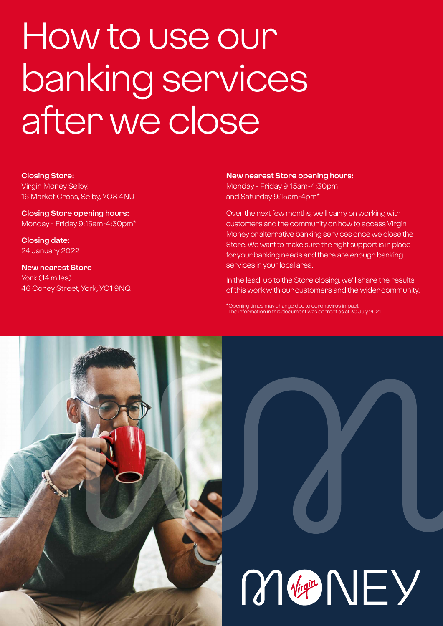# How to use our banking services after we close

**Closing Store:** Virgin Money Selby, 16 Market Cross, Selby, YO8 4NU

**Closing Store opening hours:**  Monday - Friday 9:15am-4:30pm\*

**Closing date:**  24 January 2022

**New nearest Store** York (14 miles) 46 Coney Street, York, YO1 9NQ

#### **New nearest Store opening hours:**

Monday - Friday 9:15am-4:30pm and Saturday 9:15am-4pm\*

Over the next few months, we'll carry on working with customers and the community on how to access Virgin Money or alternative banking services once we close the Store. We want to make sure the right support is in place for your banking needs and there are enough banking services in your local area.

In the lead-up to the Store closing, we'll share the results of this work with our customers and the wider community.

\*Opening times may change due to coronavirus impact The information in this document was correct as at 30 July 2021



M Vigit NEY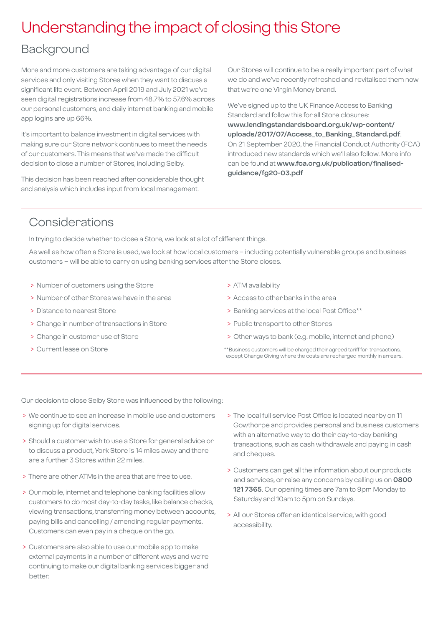### Understanding the impact of closing this Store

### Background

More and more customers are taking advantage of our digital services and only visiting Stores when they want to discuss a significant life event. Between April 2019 and July 2021 we've seen digital registrations increase from 48.7% to 57.6% across our personal customers, and daily internet banking and mobile app logins are up 66%.

It's important to balance investment in digital services with making sure our Store network continues to meet the needs of our customers. This means that we've made the difficult decision to close a number of Stores, including Selby.

This decision has been reached after considerable thought and analysis which includes input from local management.

Our Stores will continue to be a really important part of what we do and we've recently refreshed and revitalised them now that we're one Virgin Money brand.

We've signed up to the UK Finance Access to Banking Standard and follow this for all Store closures: **[www.lendingstandardsboard.org.uk/wp-content/](http://www.lendingstandardsboard.org.uk/wp-content/uploads/2017/07/Access_to_Banking_Standard.pdf) [uploads/2017/07/Access\\_to\\_Banking\\_Standard.pdf](http://www.lendingstandardsboard.org.uk/wp-content/uploads/2017/07/Access_to_Banking_Standard.pdf)**. On 21 September 2020, the Financial Conduct Authority (FCA) introduced new standards which we'll also follow. More info can be found at **[www.fca.org.uk/publication/finalised](http://www.fca.org.uk/publication/finalised-guidance/fg20-03.pdf)[guidance/fg20-03.pdf](http://www.fca.org.uk/publication/finalised-guidance/fg20-03.pdf)**

### Considerations

In trying to decide whether to close a Store, we look at a lot of different things.

As well as how often a Store is used, we look at how local customers – including potentially vulnerable groups and business customers – will be able to carry on using banking services after the Store closes.

- > Number of customers using the Store
- > Number of other Stores we have in the area
- > Distance to nearest Store
- > Change in number of transactions in Store
- > Change in customer use of Store
- > Current lease on Store
- > ATM availability
- > Access to other banks in the area
- > Banking services at the local Post Office\*\*
- > Public transport to other Stores
- > Other ways to bank (e.g. mobile, internet and phone)
- \*\*Business customers will be charged their agreed tariff for transactions, except Change Giving where the costs are recharged monthly in arrears.

Our decision to close Selby Store was influenced by the following:

- > We continue to see an increase in mobile use and customers signing up for digital services.
- > Should a customer wish to use a Store for general advice or to discuss a product, York Store is 14 miles away and there are a further 3 Stores within 22 miles.
- > There are other ATMs in the area that are free to use.
- > Our mobile, internet and telephone banking facilities allow customers to do most day-to-day tasks, like balance checks, viewing transactions, transferring money between accounts, paying bills and cancelling / amending regular payments. Customers can even pay in a cheque on the go.
- > Customers are also able to use our mobile app to make external payments in a number of different ways and we're continuing to make our digital banking services bigger and better.
- > The local full service Post Office is located nearby on 11 Gowthorpe and provides personal and business customers with an alternative way to do their day-to-day banking transactions, such as cash withdrawals and paying in cash and cheques.
- > Customers can get all the information about our products and services, or raise any concerns by calling us on **0800 121 7365**. Our opening times are 7am to 9pm Monday to Saturday and 10am to 5pm on Sundays.
- > All our Stores offer an identical service, with good accessibility.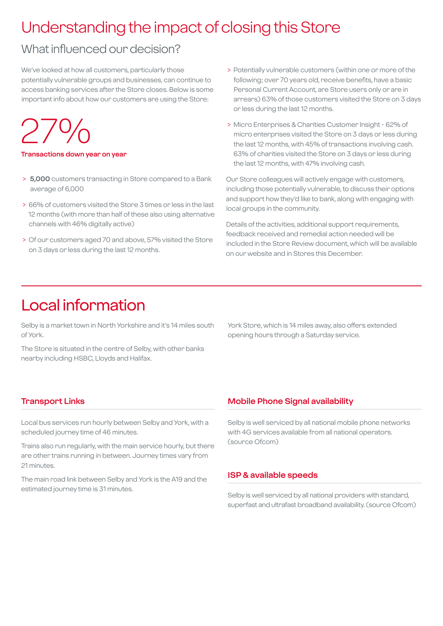### Understanding the impact of closing this Store

### What influenced our decision?

We've looked at how all customers, particularly those potentially vulnerable groups and businesses, can continue to access banking services after the Store closes. Below is some important info about how our customers are using the Store:

27%

#### **Transactions down year on year**

- > **5,000** customers transacting in Store compared to a Bank average of 6,000
- > 66% of customers visited the Store 3 times or less in the last 12 months (with more than half of these also using alternative channels with 46% digitally active)
- > Of our customers aged 70 and above, 57% visited the Store on 3 days or less during the last 12 months.
- > Potentially vulnerable customers (within one or more of the following; over 70 years old, receive benefits, have a basic Personal Current Account, are Store users only or are in arrears) 63% of those customers visited the Store on 3 days or less during the last 12 months.
- > Micro Enterprises & Charities Customer Insight 62% of micro enterprises visited the Store on 3 days or less during the last 12 months, with 45% of transactions involving cash. 63% of charities visited the Store on 3 days or less during the last 12 months, with 47% involving cash.

Our Store colleagues will actively engage with customers, including those potentially vulnerable, to discuss their options and support how they'd like to bank, along with engaging with local groups in the community.

Details of the activities, additional support requirements, feedback received and remedial action needed will be included in the Store Review document, which will be available on our website and in Stores this December.

### Local information

Selby is a market town in North Yorkshire and it's 14 miles south of York.

The Store is situated in the centre of Selby, with other banks nearby including HSBC, Lloyds and Halifax.

York Store, which is 14 miles away, also offers extended opening hours through a Saturday service.

### **Transport Links**

Local bus services run hourly between Selby and York, with a scheduled journey time of 46 minutes.

Trains also run regularly, with the main service hourly, but there are other trains running in between. Journey times vary from 21 minutes

The main road link between Selby and York is the A19 and the estimated journey time is 31 minutes.

### **Mobile Phone Signal availability**

Selby is well serviced by all national mobile phone networks with 4G services available from all national operators. (source Ofcom)

#### **ISP & available speeds**

Selby is well serviced by all national providers with standard, superfast and ultrafast broadband availability. (source Ofcom)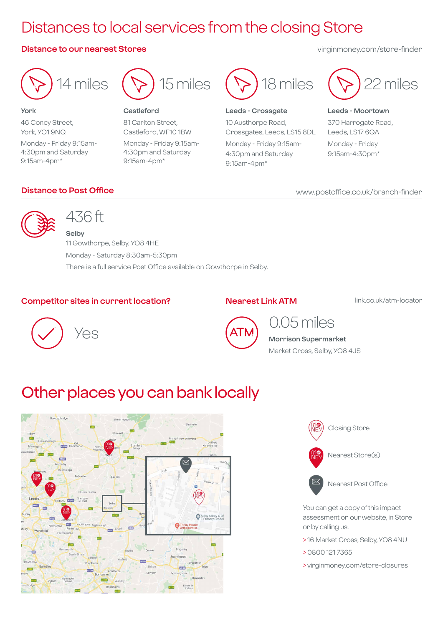## Distances to local services from the closing Store

### **Distance to our nearest Stores** virginmoney.com/store-finder



**York** 46 Coney Street, York, YO1 9NQ Monday - Friday 9:15am-4:30pm and Saturday 9:15am-4pm\*



#### **Castleford**

81 Carlton Street, Castleford, WF10 1BW Monday - Friday 9:15am-4:30pm and Saturday 9:15am-4pm\*



### **Leeds - Crossgate**

10 Austhorpe Road, Crossgates, Leeds, LS15 8DL Monday - Friday 9:15am-4:30pm and Saturday 9:15am-4pm\*



### **Leeds - Moortown** 370 Harrogate Road, Leeds, LS17 6QA Monday - Friday 9:15am-4:30pm\*

### **Distance to Post Office**

www.postoffice.co.uk/branch-finder



### 436 ft

**Selby** 11 Gowthorpe, Selby, YO8 4HE Monday - Saturday 8:30am-5:30pm There is a full service Post Office available on Gowthorpe in Selby.

### **Competitor sites in current location?**

### **Nearest Link ATM**

link.co.uk/atm-locator





### 0.05 miles

**Morrison Supermarket** Market Cross, Selby, YO8 4JS

### Other places you can bank locally





You can get a copy of this impact assessment on our website, in Store or by calling us.

- > 16 Market Cross, Selby, YO8 4NU
- > 0800 121 7365
- > virginmoney.com/store-closures